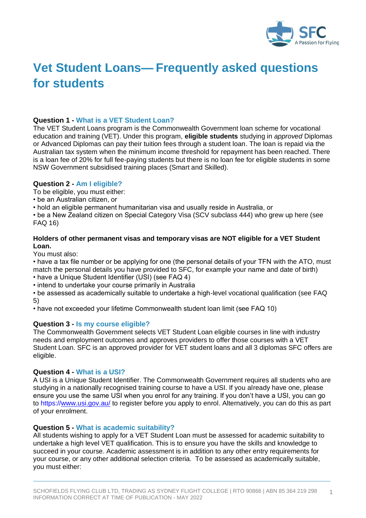

# **Vet Student Loans— Frequently asked questions for students**

# **Question 1 - What is a VET Student Loan?**

The VET Student Loans program is the Commonwealth Government loan scheme for vocational education and training (VET). Under this program, **eligible students** studying in *approved* Diplomas or Advanced Diplomas can pay their tuition fees through a student loan. The loan is repaid via the Australian tax system when the minimum income threshold for repayment has been reached. There is a loan fee of 20% for full fee-paying students but there is no loan fee for eligible students in some NSW Government subsidised training places (Smart and Skilled).

## **Question 2 - Am I eligible?**

To be eligible, you must either:

- be an Australian citizen, or
- hold an eligible permanent humanitarian visa and usually reside in Australia, or

• be a New Zealand citizen on Special Category Visa (SCV subclass 444) who grew up here (see FAQ 16)

# **Holders of other permanent visas and temporary visas are NOT eligible for a VET Student Loan.**

You must also:

• have a tax file number or be applying for one (the personal details of your TFN with the ATO, must match the personal details you have provided to SFC, for example your name and date of birth) • have a Unique Student Identifier (USI) (see FAQ 4)

• intend to undertake your course primarily in Australia

• be assessed as academically suitable to undertake a high-level vocational qualification (see FAQ 5)

• have not exceeded your lifetime Commonwealth student loan limit (see FAQ 10)

## **Question 3 - Is my course eligible?**

The Commonwealth Government selects VET Student Loan eligible courses in line with industry needs and employment outcomes and approves providers to offer those courses with a VET Student Loan. SFC is an approved provider for VET student loans and all 3 diplomas SFC offers are eligible.

## **Question 4 - What is a USI?**

A USI is a Unique Student Identifier. The Commonwealth Government requires all students who are studying in a nationally recognised training course to have a USI. If you already have one, please ensure you use the same USI when you enrol for any training. If you don't have a USI, you can go to https:/[/www.usi.gov.au/](https://www.usi.gov.au/) to register before you apply to enrol. Alternatively, you can do this as part of your enrolment.

## **Question 5 - What is academic suitability?**

All students wishing to apply for a VET Student Loan must be assessed for academic suitability to undertake a high level VET qualification. This is to ensure you have the skills and knowledge to succeed in your course. Academic assessment is in addition to any other entry requirements for your course, or any other additional selection criteria. To be assessed as academically suitable, you must either: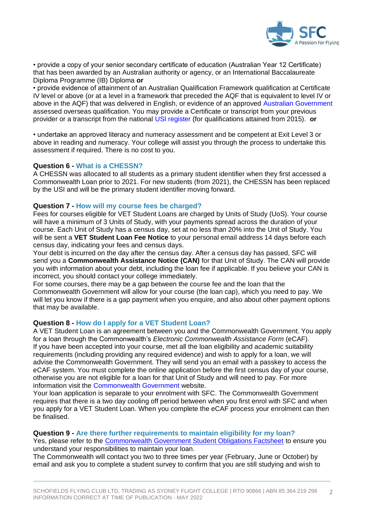

• provide a copy of your senior secondary certificate of education (Australian Year 12 Certificate) that has been awarded by an Australian authority or agency, or an International Baccalaureate Diploma Programme (IB) Diploma **or** 

• provide evidence of attainment of an Australian Qualification Framework qualification at Certificate IV level or above (or at a level in a framework that preceded the AQF that is equivalent to level IV or above in the AQF) that was delivered in English, or evidence of an approved Australian Government assessed overseas qualification. You may provide a Certificate or transcript from your previous provider or a transcript from the national USI register (for qualifications attained from 2015). **or** 

• undertake an approved literacy and numeracy assessment and be competent at Exit Level 3 or above in reading and numeracy. Your college will assist you through the process to undertake this assessment if required. There is no cost to you.

#### **Question 6 - What is a CHESSN?**

A CHESSN was allocated to all students as a primary student identifier when they first accessed a Commonwealth Loan prior to 2021. For new students (from 2021), the CHESSN has been replaced by the USI and will be the primary student identifier moving forward.

#### **Question 7 - How will my course fees be charged?**

Fees for courses eligible for VET Student Loans are charged by Units of Study (UoS). Your course will have a minimum of 3 Units of Study, with your payments spread across the duration of your course. Each Unit of Study has a census day, set at no less than 20% into the Unit of Study. You will be sent a **VET Student Loan Fee Notice** to your personal email address 14 days before each census day, indicating your fees and census days.

Your debt is incurred on the day after the census day. After a census day has passed, SFC will send you a **Commonwealth Assistance Notice (CAN)** for that Unit of Study. The CAN will provide you with information about your debt, including the loan fee if applicable. If you believe your CAN is incorrect, you should contact your college immediately.

For some courses, there may be a gap between the course fee and the loan that the Commonwealth Government will allow for your course (the loan cap), which you need to pay. We will let you know if there is a gap payment when you enquire, and also about other payment options that may be available.

## **Question 8 - How do I apply for a VET Student Loan?**

A VET Student Loan is an agreement between you and the Commonwealth Government. You apply for a loan through the Commonwealth's *Electronic Commonwealth Assistance Form* (eCAF). If you have been accepted into your course, met all the loan eligibility and academic suitability requirements (including providing any required evidence) and wish to apply for a loan, we will advise the Commonwealth Government. They will send you an email with a passkey to access the eCAF system. You must complete the online application before the first census day of your course, otherwise you are not eligible for a loan for that Unit of Study and will need to pay. For more information visit the Commonwealth Government website.

Your loan application is separate to your enrolment with SFC. The Commonwealth Government requires that there is a two day cooling off period between when you first enrol with SFC and when you apply for a VET Student Loan. When you complete the eCAF process your enrolment can then be finalised.

## **Question 9 - Are there further requirements to maintain eligibility for my loan?**

Yes, please refer to the [Commonwealth Government Student Obligations Factsheet](https://www.dese.gov.au/vet-student-loans/resources/student-obligations) to ensure you understand your responsibilities to maintain your loan.

The Commonwealth will contact you two to three times per year (February, June or October) by email and ask you to complete a student survey to confirm that you are still studying and wish to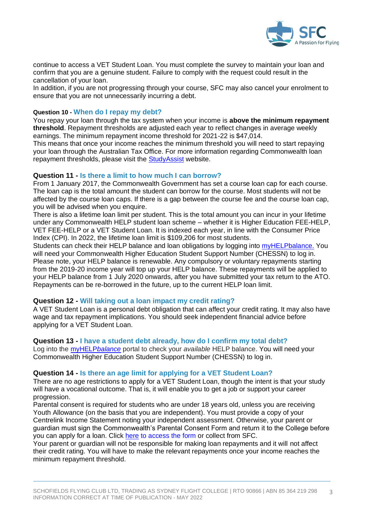

continue to access a VET Student Loan. You must complete the survey to maintain your loan and confirm that you are a genuine student. Failure to comply with the request could result in the cancellation of your loan.

In addition, if you are not progressing through your course, SFC may also cancel your enrolment to ensure that you are not unnecessarily incurring a debt.

## **Question 10 - When do I repay my debt?**

You repay your loan through the tax system when your income is **above the minimum repayment threshold**. Repayment thresholds are adjusted each year to reflect changes in average weekly earnings. The minimum repayment income threshold for 2021-22 is \$47,014.

This means that once your income reaches the minimum threshold you will need to start repaying your loan through the Australian Tax Office. For more information regarding Commonwealth loan repayment thresholds, please visit the [StudyAssist](https://www.studyassist.gov.au/) website.

## **Question 11 - Is there a limit to how much I can borrow?**

From 1 January 2017, the Commonwealth Government has set a course loan cap for each course. The loan cap is the total amount the student can borrow for the course. Most students will not be affected by the course loan caps. If there is a gap between the course fee and the course loan cap, you will be advised when you enquire.

There is also a lifetime loan limit per student. This is the total amount you can incur in your lifetime under any Commonwealth HELP student loan scheme – whether it is Higher Education FEE-HELP, VET FEE-HELP or a VET Student Loan. It is indexed each year, in line with the Consumer Price Index (CPI). In 2022, the lifetime loan limit is \$109,206 for most students.

Students can check their HELP balance and loan obligations by logging into [myHELPbalance.](https://myhelpbalance.gov.au/) You will need your Commonwealth Higher Education Student Support Number (CHESSN) to log in. Please note, your HELP balance is renewable. Any compulsory or voluntary repayments starting from the 2019-20 income year will top up your HELP balance. These repayments will be applied to your HELP balance from 1 July 2020 onwards, after you have submitted your tax return to the ATO. Repayments can be re-borrowed in the future, up to the current HELP loan limit.

## **Question 12 - Will taking out a loan impact my credit rating?**

A VET Student Loan is a personal debt obligation that can affect your credit rating. It may also have wage and tax repayment implications. You should seek independent financial advice before applying for a VET Student Loan.

#### **Question 13 - I have a student debt already, how do I confirm my total debt?**

Log into the [myHELP](https://myhelpbalance.gov.au/)*balance* portal to check your *available* HELP balance. You will need your Commonwealth Higher Education Student Support Number (CHESSN) to log in.

#### **Question 14 - Is there an age limit for applying for a VET Student Loan?**

There are no age restrictions to apply for a VET Student Loan, though the intent is that your study will have a vocational outcome. That is, it will enable you to get a job or support your career progression.

Parental consent is required for students who are under 18 years old, unless you are receiving Youth Allowance (on the basis that you are independent). You must provide a copy of your Centrelink Income Statement noting your independent assessment. Otherwise, your parent or guardian must sign the Commonwealth's Parental Consent Form and return it to the College before you can apply for a loan. Click [here](https://www.dese.gov.au/vet-student-loans/resources/vet-student-loans-parental-consent-form) to access the form or collect from SFC.

Your parent or guardian will not be responsible for making loan repayments and it will not affect their credit rating. You will have to make the relevant repayments once your income reaches the minimum repayment threshold.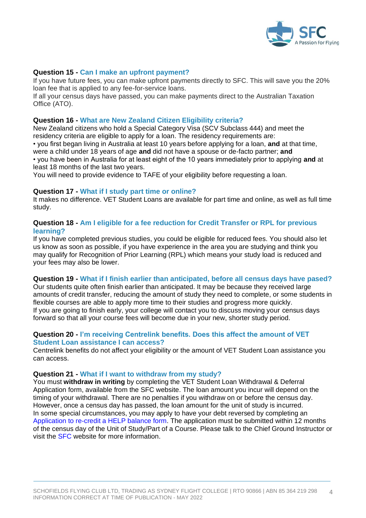

# **Question 15 - Can I make an upfront payment?**

If you have future fees, you can make upfront payments directly to SFC. This will save you the 20% loan fee that is applied to any fee-for-service loans.

If all your census days have passed, you can make payments direct to the Australian Taxation Office (ATO).

# **Question 16 - What are New Zealand Citizen Eligibility criteria?**

New Zealand citizens who hold a Special Category Visa (SCV Subclass 444) and meet the residency criteria are eligible to apply for a loan. The residency requirements are:

• you first began living in Australia at least 10 years before applying for a loan, **and** at that time, were a child under 18 years of age **and** did not have a spouse or de-facto partner; **and**  • you have been in Australia for at least eight of the 10 years immediately prior to applying **and** at least 18 months of the last two years.

You will need to provide evidence to TAFE of your eligibility before requesting a loan.

## **Question 17 - What if I study part time or online?**

It makes no difference. VET Student Loans are available for part time and online, as well as full time study.

## **Question 18 - Am I eligible for a fee reduction for Credit Transfer or RPL for previous learning?**

If you have completed previous studies, you could be eligible for reduced fees. You should also let us know as soon as possible, if you have experience in the area you are studying and think you may qualify for Recognition of Prior Learning (RPL) which means your study load is reduced and your fees may also be lower.

## **Question 19 - What if I finish earlier than anticipated, before all census days have pased?**

Our students quite often finish earlier than anticipated. It may be because they received large amounts of credit transfer, reducing the amount of study they need to complete, or some students in flexible courses are able to apply more time to their studies and progress more quickly. If you are going to finish early, your college will contact you to discuss moving your census days forward so that all your course fees will become due in your new, shorter study period.

# **Question 20 - I'm receiving Centrelink benefits. Does this affect the amount of VET Student Loan assistance I can access?**

Centrelink benefits do not affect your eligibility or the amount of VET Student Loan assistance you can access.

## **Question 21 - What if I want to withdraw from my study?**

You must **withdraw in writing** by completing the VET Student Loan Withdrawal & Deferral Application form, available from the SFC website. The loan amount you incur will depend on the timing of your withdrawal. There are no penalties if you withdraw on or before the census day. However, once a census day has passed, the loan amount for the unit of study is incurred. In some special circumstances, you may apply to have your debt reversed by completing an Application to re-credit a HELP balance form. The application must be submitted within 12 months of the census day of the Unit of Study/Part of a Course. Please talk to the Chief Ground Instructor or visit the SFC website for more information.